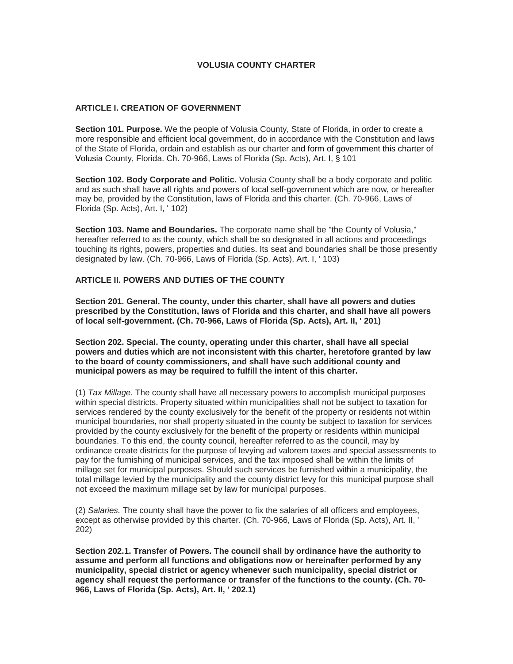# **VOLUSIA COUNTY CHARTER**

# **ARTICLE I. CREATION OF GOVERNMENT**

**Section 101. Purpose.** We the people of Volusia County, State of Florida, in order to create a more responsible and efficient local government, do in accordance with the Constitution and laws of the State of Florida, ordain and establish as our charter and form of government this charter of Volusia County, Florida. Ch. 70-966, Laws of Florida (Sp. Acts), Art. I, § 101

**Section 102. Body Corporate and Politic.** Volusia County shall be a body corporate and politic and as such shall have all rights and powers of local self-government which are now, or hereafter may be, provided by the Constitution, laws of Florida and this charter. (Ch. 70-966, Laws of Florida (Sp. Acts), Art. I, ' 102)

**Section 103. Name and Boundaries.** The corporate name shall be "the County of Volusia," hereafter referred to as the county, which shall be so designated in all actions and proceedings touching its rights, powers, properties and duties. Its seat and boundaries shall be those presently designated by law. (Ch. 70-966, Laws of Florida (Sp. Acts), Art. I, ' 103)

# **ARTICLE II. POWERS AND DUTIES OF THE COUNTY**

**Section 201. General. The county, under this charter, shall have all powers and duties prescribed by the Constitution, laws of Florida and this charter, and shall have all powers of local self-government. (Ch. 70-966, Laws of Florida (Sp. Acts), Art. II, ' 201)**

**Section 202. Special. The county, operating under this charter, shall have all special powers and duties which are not inconsistent with this charter, heretofore granted by law to the board of county commissioners, and shall have such additional county and municipal powers as may be required to fulfill the intent of this charter.**

(1) *Tax Millage*. The county shall have all necessary powers to accomplish municipal purposes within special districts. Property situated within municipalities shall not be subject to taxation for services rendered by the county exclusively for the benefit of the property or residents not within municipal boundaries, nor shall property situated in the county be subject to taxation for services provided by the county exclusively for the benefit of the property or residents within municipal boundaries. To this end, the county council, hereafter referred to as the council, may by ordinance create districts for the purpose of levying ad valorem taxes and special assessments to pay for the furnishing of municipal services, and the tax imposed shall be within the limits of millage set for municipal purposes. Should such services be furnished within a municipality, the total millage levied by the municipality and the county district levy for this municipal purpose shall not exceed the maximum millage set by law for municipal purposes.

(2) *Salaries.* The county shall have the power to fix the salaries of all officers and employees, except as otherwise provided by this charter. (Ch. 70-966, Laws of Florida (Sp. Acts), Art. II, ' 202)

**Section 202.1. Transfer of Powers. The council shall by ordinance have the authority to assume and perform all functions and obligations now or hereinafter performed by any municipality, special district or agency whenever such municipality, special district or agency shall request the performance or transfer of the functions to the county. (Ch. 70- 966, Laws of Florida (Sp. Acts), Art. II, ' 202.1)**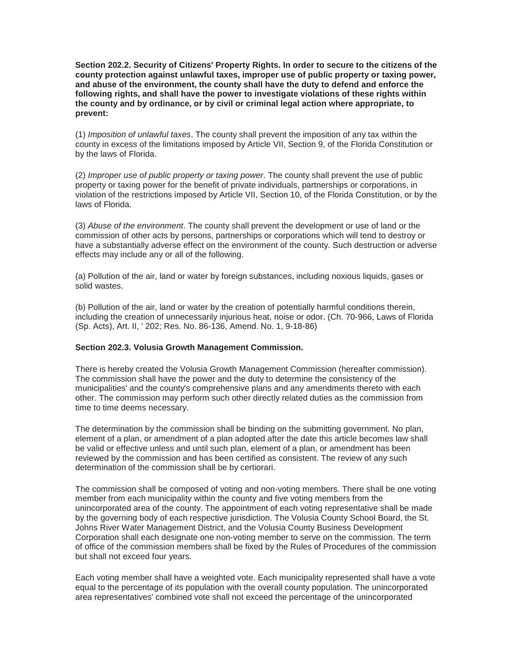**Section 202.2. Security of Citizens' Property Rights. In order to secure to the citizens of the county protection against unlawful taxes, improper use of public property or taxing power, and abuse of the environment, the county shall have the duty to defend and enforce the following rights, and shall have the power to investigate violations of these rights within the county and by ordinance, or by civil or criminal legal action where appropriate, to prevent:**

(1) *Imposition of unlawful taxes*. The county shall prevent the imposition of any tax within the county in excess of the limitations imposed by Article VII, Section 9, of the Florida Constitution or by the laws of Florida.

(2) *Improper use of public property or taxing power*. The county shall prevent the use of public property or taxing power for the benefit of private individuals, partnerships or corporations, in violation of the restrictions imposed by Article VII, Section 10, of the Florida Constitution, or by the laws of Florida.

(3) *Abuse of the environment*. The county shall prevent the development or use of land or the commission of other acts by persons, partnerships or corporations which will tend to destroy or have a substantially adverse effect on the environment of the county. Such destruction or adverse effects may include any or all of the following.

(a) Pollution of the air, land or water by foreign substances, including noxious liquids, gases or solid wastes.

(b) Pollution of the air, land or water by the creation of potentially harmful conditions therein, including the creation of unnecessarily injurious heat, noise or odor. (Ch. 70-966, Laws of Florida (Sp. Acts), Art. II, ' 202; Res. No. 86-136, Amend. No. 1, 9-18-86)

#### **Section 202.3. Volusia Growth Management Commission.**

There is hereby created the Volusia Growth Management Commission (hereafter commission). The commission shall have the power and the duty to determine the consistency of the municipalities' and the county's comprehensive plans and any amendments thereto with each other. The commission may perform such other directly related duties as the commission from time to time deems necessary.

The determination by the commission shall be binding on the submitting government. No plan, element of a plan, or amendment of a plan adopted after the date this article becomes law shall be valid or effective unless and until such plan, element of a plan, or amendment has been reviewed by the commission and has been certified as consistent. The review of any such determination of the commission shall be by certiorari.

The commission shall be composed of voting and non-voting members. There shall be one voting member from each municipality within the county and five voting members from the unincorporated area of the county. The appointment of each voting representative shall be made by the governing body of each respective jurisdiction. The Volusia County School Board, the St. Johns River Water Management District, and the Volusia County Business Development Corporation shall each designate one non-voting member to serve on the commission. The term of office of the commission members shall be fixed by the Rules of Procedures of the commission but shall not exceed four years.

Each voting member shall have a weighted vote. Each municipality represented shall have a vote equal to the percentage of its population with the overall county population. The unincorporated area representatives' combined vote shall not exceed the percentage of the unincorporated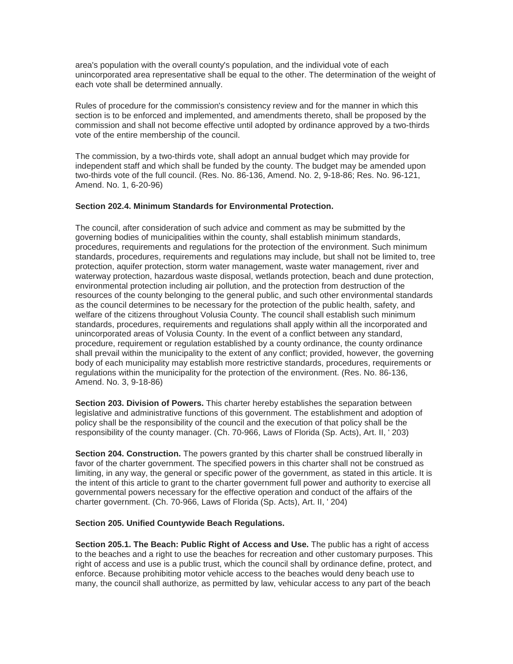area's population with the overall county's population, and the individual vote of each unincorporated area representative shall be equal to the other. The determination of the weight of each vote shall be determined annually.

Rules of procedure for the commission's consistency review and for the manner in which this section is to be enforced and implemented, and amendments thereto, shall be proposed by the commission and shall not become effective until adopted by ordinance approved by a two-thirds vote of the entire membership of the council.

The commission, by a two-thirds vote, shall adopt an annual budget which may provide for independent staff and which shall be funded by the county. The budget may be amended upon two-thirds vote of the full council. (Res. No. 86-136, Amend. No. 2, 9-18-86; Res. No. 96-121, Amend. No. 1, 6-20-96)

### **Section 202.4. Minimum Standards for Environmental Protection.**

The council, after consideration of such advice and comment as may be submitted by the governing bodies of municipalities within the county, shall establish minimum standards, procedures, requirements and regulations for the protection of the environment. Such minimum standards, procedures, requirements and regulations may include, but shall not be limited to, tree protection, aquifer protection, storm water management, waste water management, river and waterway protection, hazardous waste disposal, wetlands protection, beach and dune protection, environmental protection including air pollution, and the protection from destruction of the resources of the county belonging to the general public, and such other environmental standards as the council determines to be necessary for the protection of the public health, safety, and welfare of the citizens throughout Volusia County. The council shall establish such minimum standards, procedures, requirements and regulations shall apply within all the incorporated and unincorporated areas of Volusia County. In the event of a conflict between any standard, procedure, requirement or regulation established by a county ordinance, the county ordinance shall prevail within the municipality to the extent of any conflict; provided, however, the governing body of each municipality may establish more restrictive standards, procedures, requirements or regulations within the municipality for the protection of the environment. (Res. No. 86-136, Amend. No. 3, 9-18-86)

**Section 203. Division of Powers.** This charter hereby establishes the separation between legislative and administrative functions of this government. The establishment and adoption of policy shall be the responsibility of the council and the execution of that policy shall be the responsibility of the county manager. (Ch. 70-966, Laws of Florida (Sp. Acts), Art. II, ' 203)

**Section 204. Construction.** The powers granted by this charter shall be construed liberally in favor of the charter government. The specified powers in this charter shall not be construed as limiting, in any way, the general or specific power of the government, as stated in this article. It is the intent of this article to grant to the charter government full power and authority to exercise all governmental powers necessary for the effective operation and conduct of the affairs of the charter government. (Ch. 70-966, Laws of Florida (Sp. Acts), Art. II, ' 204)

#### **Section 205. Unified Countywide Beach Regulations.**

**Section 205.1. The Beach: Public Right of Access and Use.** The public has a right of access to the beaches and a right to use the beaches for recreation and other customary purposes. This right of access and use is a public trust, which the council shall by ordinance define, protect, and enforce. Because prohibiting motor vehicle access to the beaches would deny beach use to many, the council shall authorize, as permitted by law, vehicular access to any part of the beach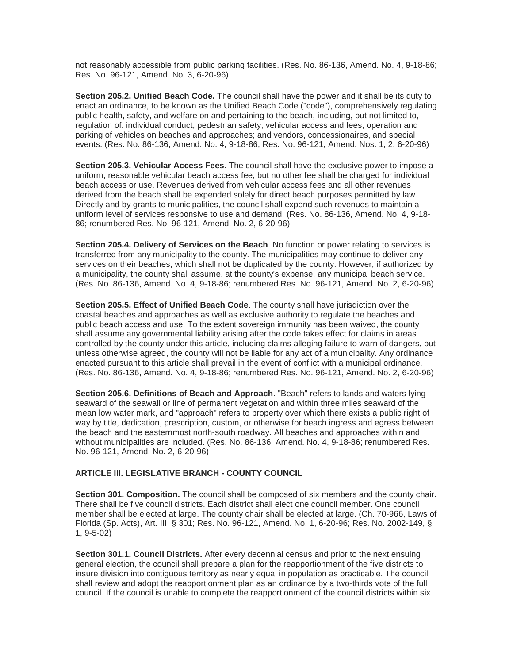not reasonably accessible from public parking facilities. (Res. No. 86-136, Amend. No. 4, 9-18-86; Res. No. 96-121, Amend. No. 3, 6-20-96)

**Section 205.2. Unified Beach Code.** The council shall have the power and it shall be its duty to enact an ordinance, to be known as the Unified Beach Code ("code"), comprehensively regulating public health, safety, and welfare on and pertaining to the beach, including, but not limited to, regulation of: individual conduct; pedestrian safety; vehicular access and fees; operation and parking of vehicles on beaches and approaches; and vendors, concessionaires, and special events. (Res. No. 86-136, Amend. No. 4, 9-18-86; Res. No. 96-121, Amend. Nos. 1, 2, 6-20-96)

**Section 205.3. Vehicular Access Fees.** The council shall have the exclusive power to impose a uniform, reasonable vehicular beach access fee, but no other fee shall be charged for individual beach access or use. Revenues derived from vehicular access fees and all other revenues derived from the beach shall be expended solely for direct beach purposes permitted by law. Directly and by grants to municipalities, the council shall expend such revenues to maintain a uniform level of services responsive to use and demand. (Res. No. 86-136, Amend. No. 4, 9-18- 86; renumbered Res. No. 96-121, Amend. No. 2, 6-20-96)

**Section 205.4. Delivery of Services on the Beach**. No function or power relating to services is transferred from any municipality to the county. The municipalities may continue to deliver any services on their beaches, which shall not be duplicated by the county. However, if authorized by a municipality, the county shall assume, at the county's expense, any municipal beach service. (Res. No. 86-136, Amend. No. 4, 9-18-86; renumbered Res. No. 96-121, Amend. No. 2, 6-20-96)

**Section 205.5. Effect of Unified Beach Code**. The county shall have jurisdiction over the coastal beaches and approaches as well as exclusive authority to regulate the beaches and public beach access and use. To the extent sovereign immunity has been waived, the county shall assume any governmental liability arising after the code takes effect for claims in areas controlled by the county under this article, including claims alleging failure to warn of dangers, but unless otherwise agreed, the county will not be liable for any act of a municipality. Any ordinance enacted pursuant to this article shall prevail in the event of conflict with a municipal ordinance. (Res. No. 86-136, Amend. No. 4, 9-18-86; renumbered Res. No. 96-121, Amend. No. 2, 6-20-96)

**Section 205.6. Definitions of Beach and Approach**. "Beach" refers to lands and waters lying seaward of the seawall or line of permanent vegetation and within three miles seaward of the mean low water mark, and "approach" refers to property over which there exists a public right of way by title, dedication, prescription, custom, or otherwise for beach ingress and egress between the beach and the easternmost north-south roadway. All beaches and approaches within and without municipalities are included. (Res. No. 86-136, Amend. No. 4, 9-18-86; renumbered Res. No. 96-121, Amend. No. 2, 6-20-96)

#### **ARTICLE III. LEGISLATIVE BRANCH - COUNTY COUNCIL**

**Section 301. Composition.** The council shall be composed of six members and the county chair. There shall be five council districts. Each district shall elect one council member. One council member shall be elected at large. The county chair shall be elected at large. (Ch. 70-966, Laws of Florida (Sp. Acts), Art. III, § 301; Res. No. 96-121, Amend. No. 1, 6-20-96; Res. No. 2002-149, § 1, 9-5-02)

**Section 301.1. Council Districts.** After every decennial census and prior to the next ensuing general election, the council shall prepare a plan for the reapportionment of the five districts to insure division into contiguous territory as nearly equal in population as practicable. The council shall review and adopt the reapportionment plan as an ordinance by a two-thirds vote of the full council. If the council is unable to complete the reapportionment of the council districts within six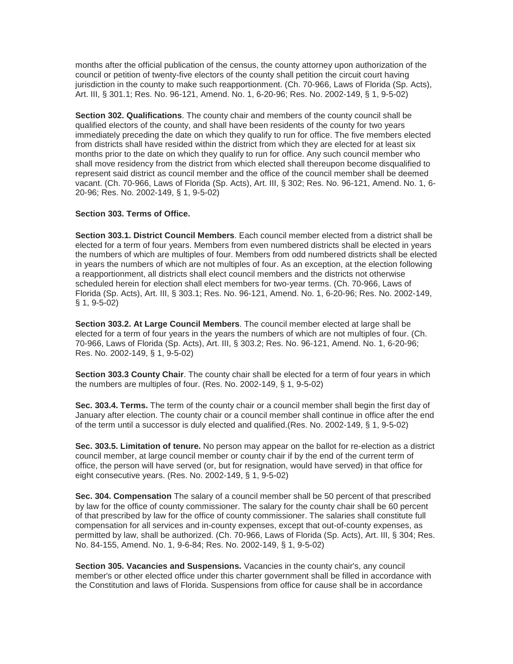months after the official publication of the census, the county attorney upon authorization of the council or petition of twenty-five electors of the county shall petition the circuit court having jurisdiction in the county to make such reapportionment. (Ch. 70-966, Laws of Florida (Sp. Acts), Art. III, § 301.1; Res. No. 96-121, Amend. No. 1, 6-20-96; Res. No. 2002-149, § 1, 9-5-02)

**Section 302. Qualifications**. The county chair and members of the county council shall be qualified electors of the county, and shall have been residents of the county for two years immediately preceding the date on which they qualify to run for office. The five members elected from districts shall have resided within the district from which they are elected for at least six months prior to the date on which they qualify to run for office. Any such council member who shall move residency from the district from which elected shall thereupon become disqualified to represent said district as council member and the office of the council member shall be deemed vacant. (Ch. 70-966, Laws of Florida (Sp. Acts), Art. III, § 302; Res. No. 96-121, Amend. No. 1, 6- 20-96; Res. No. 2002-149, § 1, 9-5-02)

#### **Section 303. Terms of Office.**

**Section 303.1. District Council Members**. Each council member elected from a district shall be elected for a term of four years. Members from even numbered districts shall be elected in years the numbers of which are multiples of four. Members from odd numbered districts shall be elected in years the numbers of which are not multiples of four. As an exception, at the election following a reapportionment, all districts shall elect council members and the districts not otherwise scheduled herein for election shall elect members for two-year terms. (Ch. 70-966, Laws of Florida (Sp. Acts), Art. III, § 303.1; Res. No. 96-121, Amend. No. 1, 6-20-96; Res. No. 2002-149, § 1, 9-5-02)

**Section 303.2. At Large Council Members**. The council member elected at large shall be elected for a term of four years in the years the numbers of which are not multiples of four. (Ch. 70-966, Laws of Florida (Sp. Acts), Art. III, § 303.2; Res. No. 96-121, Amend. No. 1, 6-20-96; Res. No. 2002-149, § 1, 9-5-02)

**Section 303.3 County Chair**. The county chair shall be elected for a term of four years in which the numbers are multiples of four. (Res. No. 2002-149, § 1, 9-5-02)

**Sec. 303.4. Terms.** The term of the county chair or a council member shall begin the first day of January after election. The county chair or a council member shall continue in office after the end of the term until a successor is duly elected and qualified.(Res. No. 2002-149, § 1, 9-5-02)

**Sec. 303.5. Limitation of tenure.** No person may appear on the ballot for re-election as a district council member, at large council member or county chair if by the end of the current term of office, the person will have served (or, but for resignation, would have served) in that office for eight consecutive years. (Res. No. 2002-149, § 1, 9-5-02)

**Sec. 304. Compensation** The salary of a council member shall be 50 percent of that prescribed by law for the office of county commissioner. The salary for the county chair shall be 60 percent of that prescribed by law for the office of county commissioner. The salaries shall constitute full compensation for all services and in-county expenses, except that out-of-county expenses, as permitted by law, shall be authorized. (Ch. 70-966, Laws of Florida (Sp. Acts), Art. III, § 304; Res. No. 84-155, Amend. No. 1, 9-6-84; Res. No. 2002-149, § 1, 9-5-02)

**Section 305. Vacancies and Suspensions.** Vacancies in the county chair's, any council member's or other elected office under this charter government shall be filled in accordance with the Constitution and laws of Florida. Suspensions from office for cause shall be in accordance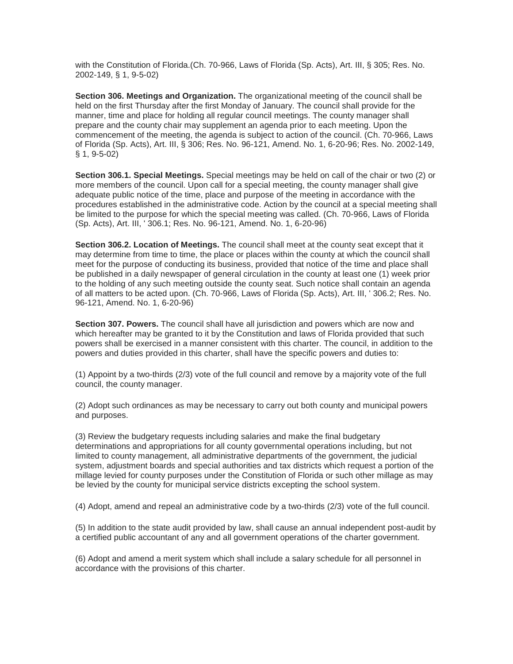with the Constitution of Florida.(Ch. 70-966, Laws of Florida (Sp. Acts), Art. III, § 305; Res. No. 2002-149, § 1, 9-5-02)

**Section 306. Meetings and Organization.** The organizational meeting of the council shall be held on the first Thursday after the first Monday of January. The council shall provide for the manner, time and place for holding all regular council meetings. The county manager shall prepare and the county chair may supplement an agenda prior to each meeting. Upon the commencement of the meeting, the agenda is subject to action of the council. (Ch. 70-966, Laws of Florida (Sp. Acts), Art. III, § 306; Res. No. 96-121, Amend. No. 1, 6-20-96; Res. No. 2002-149, § 1, 9-5-02)

**Section 306.1. Special Meetings.** Special meetings may be held on call of the chair or two (2) or more members of the council. Upon call for a special meeting, the county manager shall give adequate public notice of the time, place and purpose of the meeting in accordance with the procedures established in the administrative code. Action by the council at a special meeting shall be limited to the purpose for which the special meeting was called. (Ch. 70-966, Laws of Florida (Sp. Acts), Art. III, ' 306.1; Res. No. 96-121, Amend. No. 1, 6-20-96)

**Section 306.2. Location of Meetings.** The council shall meet at the county seat except that it may determine from time to time, the place or places within the county at which the council shall meet for the purpose of conducting its business, provided that notice of the time and place shall be published in a daily newspaper of general circulation in the county at least one (1) week prior to the holding of any such meeting outside the county seat. Such notice shall contain an agenda of all matters to be acted upon. (Ch. 70-966, Laws of Florida (Sp. Acts), Art. III, ' 306.2; Res. No. 96-121, Amend. No. 1, 6-20-96)

**Section 307. Powers.** The council shall have all jurisdiction and powers which are now and which hereafter may be granted to it by the Constitution and laws of Florida provided that such powers shall be exercised in a manner consistent with this charter. The council, in addition to the powers and duties provided in this charter, shall have the specific powers and duties to:

(1) Appoint by a two-thirds (2/3) vote of the full council and remove by a majority vote of the full council, the county manager.

(2) Adopt such ordinances as may be necessary to carry out both county and municipal powers and purposes.

(3) Review the budgetary requests including salaries and make the final budgetary determinations and appropriations for all county governmental operations including, but not limited to county management, all administrative departments of the government, the judicial system, adjustment boards and special authorities and tax districts which request a portion of the millage levied for county purposes under the Constitution of Florida or such other millage as may be levied by the county for municipal service districts excepting the school system.

(4) Adopt, amend and repeal an administrative code by a two-thirds (2/3) vote of the full council.

(5) In addition to the state audit provided by law, shall cause an annual independent post-audit by a certified public accountant of any and all government operations of the charter government.

(6) Adopt and amend a merit system which shall include a salary schedule for all personnel in accordance with the provisions of this charter.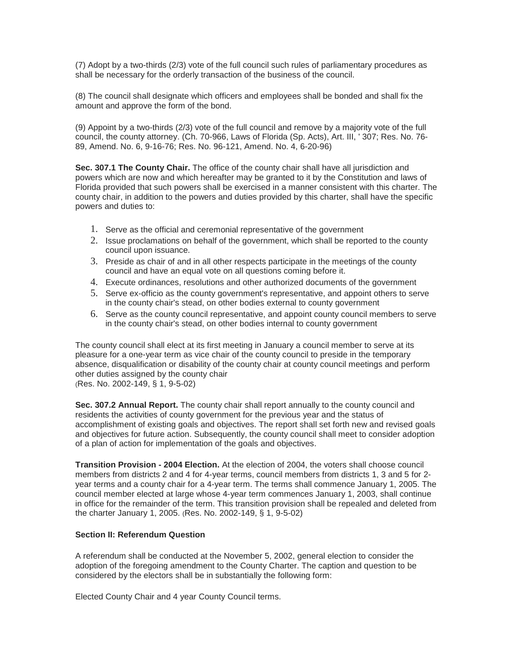(7) Adopt by a two-thirds (2/3) vote of the full council such rules of parliamentary procedures as shall be necessary for the orderly transaction of the business of the council.

(8) The council shall designate which officers and employees shall be bonded and shall fix the amount and approve the form of the bond.

(9) Appoint by a two-thirds (2/3) vote of the full council and remove by a majority vote of the full council, the county attorney. (Ch. 70-966, Laws of Florida (Sp. Acts), Art. III, ' 307; Res. No. 76- 89, Amend. No. 6, 9-16-76; Res. No. 96-121, Amend. No. 4, 6-20-96)

**Sec. 307.1 The County Chair.** The office of the county chair shall have all jurisdiction and powers which are now and which hereafter may be granted to it by the Constitution and laws of Florida provided that such powers shall be exercised in a manner consistent with this charter. The county chair, in addition to the powers and duties provided by this charter, shall have the specific powers and duties to:

- 1. Serve as the official and ceremonial representative of the government
- 2. Issue proclamations on behalf of the government, which shall be reported to the county council upon issuance.
- 3. Preside as chair of and in all other respects participate in the meetings of the county council and have an equal vote on all questions coming before it.
- 4. Execute ordinances, resolutions and other authorized documents of the government
- 5. Serve ex-officio as the county government's representative, and appoint others to serve in the county chair's stead, on other bodies external to county government
- 6. Serve as the county council representative, and appoint county council members to serve in the county chair's stead, on other bodies internal to county government

The county council shall elect at its first meeting in January a council member to serve at its pleasure for a one-year term as vice chair of the county council to preside in the temporary absence, disqualification or disability of the county chair at county council meetings and perform other duties assigned by the county chair (Res. No. 2002-149, § 1, 9-5-02)

**Sec. 307.2 Annual Report.** The county chair shall report annually to the county council and residents the activities of county government for the previous year and the status of accomplishment of existing goals and objectives. The report shall set forth new and revised goals and objectives for future action. Subsequently, the county council shall meet to consider adoption of a plan of action for implementation of the goals and objectives.

**Transition Provision - 2004 Election.** At the election of 2004, the voters shall choose council members from districts 2 and 4 for 4-year terms, council members from districts 1, 3 and 5 for 2 year terms and a county chair for a 4-year term. The terms shall commence January 1, 2005. The council member elected at large whose 4-year term commences January 1, 2003, shall continue in office for the remainder of the term. This transition provision shall be repealed and deleted from the charter January 1, 2005. (Res. No. 2002-149, § 1, 9-5-02)

# **Section II: Referendum Question**

A referendum shall be conducted at the November 5, 2002, general election to consider the adoption of the foregoing amendment to the County Charter. The caption and question to be considered by the electors shall be in substantially the following form:

Elected County Chair and 4 year County Council terms.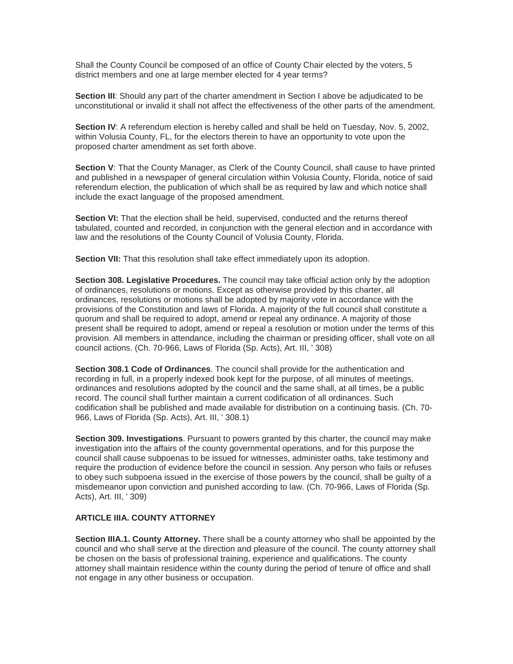Shall the County Council be composed of an office of County Chair elected by the voters, 5 district members and one at large member elected for 4 year terms?

**Section III**: Should any part of the charter amendment in Section I above be adjudicated to be unconstitutional or invalid it shall not affect the effectiveness of the other parts of the amendment.

**Section IV**: A referendum election is hereby called and shall be held on Tuesday, Nov. 5, 2002, within Volusia County, FL, for the electors therein to have an opportunity to vote upon the proposed charter amendment as set forth above.

**Section V**: That the County Manager, as Clerk of the County Council, shall cause to have printed and published in a newspaper of general circulation within Volusia County, Florida, notice of said referendum election, the publication of which shall be as required by law and which notice shall include the exact language of the proposed amendment.

**Section VI:** That the election shall be held, supervised, conducted and the returns thereof tabulated, counted and recorded, in conjunction with the general election and in accordance with law and the resolutions of the County Council of Volusia County, Florida.

**Section VII:** That this resolution shall take effect immediately upon its adoption.

**Section 308. Legislative Procedures.** The council may take official action only by the adoption of ordinances, resolutions or motions. Except as otherwise provided by this charter, all ordinances, resolutions or motions shall be adopted by majority vote in accordance with the provisions of the Constitution and laws of Florida. A majority of the full council shall constitute a quorum and shall be required to adopt, amend or repeal any ordinance. A majority of those present shall be required to adopt, amend or repeal a resolution or motion under the terms of this provision. All members in attendance, including the chairman or presiding officer, shall vote on all council actions. (Ch. 70-966, Laws of Florida (Sp. Acts), Art. III, ' 308)

**Section 308.1 Code of Ordinances**. The council shall provide for the authentication and recording in full, in a properly indexed book kept for the purpose, of all minutes of meetings, ordinances and resolutions adopted by the council and the same shall, at all times, be a public record. The council shall further maintain a current codification of all ordinances. Such codification shall be published and made available for distribution on a continuing basis. (Ch. 70- 966, Laws of Florida (Sp. Acts), Art. III, ' 308.1)

**Section 309. Investigations**. Pursuant to powers granted by this charter, the council may make investigation into the affairs of the county governmental operations, and for this purpose the council shall cause subpoenas to be issued for witnesses, administer oaths, take testimony and require the production of evidence before the council in session. Any person who fails or refuses to obey such subpoena issued in the exercise of those powers by the council, shall be guilty of a misdemeanor upon conviction and punished according to law. (Ch. 70-966, Laws of Florida (Sp. Acts), Art. III, ' 309)

### **ARTICLE IIIA. COUNTY ATTORNEY**

**Section IIIA.1. County Attorney.** There shall be a county attorney who shall be appointed by the council and who shall serve at the direction and pleasure of the council. The county attorney shall be chosen on the basis of professional training, experience and qualifications. The county attorney shall maintain residence within the county during the period of tenure of office and shall not engage in any other business or occupation.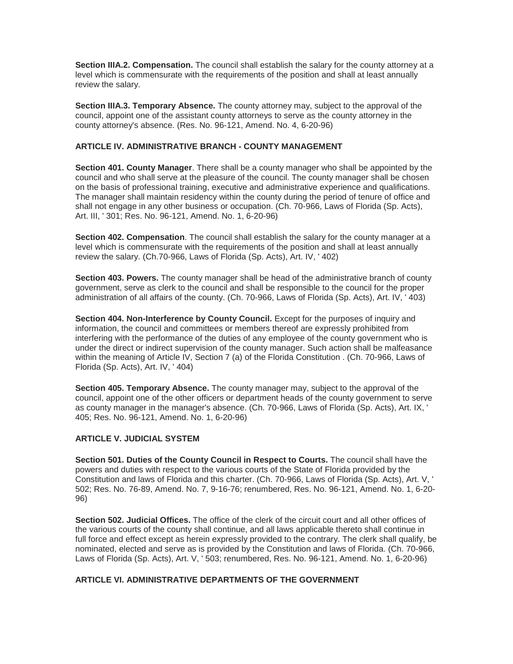**Section IIIA.2. Compensation.** The council shall establish the salary for the county attorney at a level which is commensurate with the requirements of the position and shall at least annually review the salary.

**Section IIIA.3. Temporary Absence.** The county attorney may, subject to the approval of the council, appoint one of the assistant county attorneys to serve as the county attorney in the county attorney's absence. (Res. No. 96-121, Amend. No. 4, 6-20-96)

# **ARTICLE IV. ADMINISTRATIVE BRANCH - COUNTY MANAGEMENT**

**Section 401. County Manager**. There shall be a county manager who shall be appointed by the council and who shall serve at the pleasure of the council. The county manager shall be chosen on the basis of professional training, executive and administrative experience and qualifications. The manager shall maintain residency within the county during the period of tenure of office and shall not engage in any other business or occupation. (Ch. 70-966, Laws of Florida (Sp. Acts), Art. III, ' 301; Res. No. 96-121, Amend. No. 1, 6-20-96)

**Section 402. Compensation**. The council shall establish the salary for the county manager at a level which is commensurate with the requirements of the position and shall at least annually review the salary. (Ch.70-966, Laws of Florida (Sp. Acts), Art. IV, ' 402)

**Section 403. Powers.** The county manager shall be head of the administrative branch of county government, serve as clerk to the council and shall be responsible to the council for the proper administration of all affairs of the county. (Ch. 70-966, Laws of Florida (Sp. Acts), Art. IV, ' 403)

**Section 404. Non-Interference by County Council.** Except for the purposes of inquiry and information, the council and committees or members thereof are expressly prohibited from interfering with the performance of the duties of any employee of the county government who is under the direct or indirect supervision of the county manager. Such action shall be malfeasance within the meaning of Article IV, Section 7 (a) of the Florida Constitution . (Ch. 70-966, Laws of Florida (Sp. Acts), Art. IV, ' 404)

**Section 405. Temporary Absence.** The county manager may, subject to the approval of the council, appoint one of the other officers or department heads of the county government to serve as county manager in the manager's absence. (Ch. 70-966, Laws of Florida (Sp. Acts), Art. IX, ' 405; Res. No. 96-121, Amend. No. 1, 6-20-96)

# **ARTICLE V. JUDICIAL SYSTEM**

**Section 501. Duties of the County Council in Respect to Courts.** The council shall have the powers and duties with respect to the various courts of the State of Florida provided by the Constitution and laws of Florida and this charter. (Ch. 70-966, Laws of Florida (Sp. Acts), Art. V, ' 502; Res. No. 76-89, Amend. No. 7, 9-16-76; renumbered, Res. No. 96-121, Amend. No. 1, 6-20- 96)

**Section 502. Judicial Offices.** The office of the clerk of the circuit court and all other offices of the various courts of the county shall continue, and all laws applicable thereto shall continue in full force and effect except as herein expressly provided to the contrary. The clerk shall qualify, be nominated, elected and serve as is provided by the Constitution and laws of Florida. (Ch. 70-966, Laws of Florida (Sp. Acts), Art. V, ' 503; renumbered, Res. No. 96-121, Amend. No. 1, 6-20-96)

#### **ARTICLE VI. ADMINISTRATIVE DEPARTMENTS OF THE GOVERNMENT**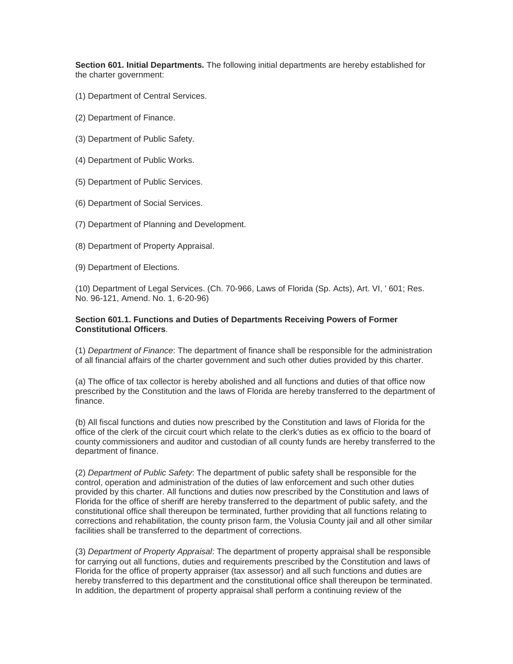**Section 601. Initial Departments.** The following initial departments are hereby established for the charter government:

- (1) Department of Central Services.
- (2) Department of Finance.
- (3) Department of Public Safety.
- (4) Department of Public Works.
- (5) Department of Public Services.
- (6) Department of Social Services.
- (7) Department of Planning and Development.
- (8) Department of Property Appraisal.
- (9) Department of Elections.

(10) Department of Legal Services. (Ch. 70-966, Laws of Florida (Sp. Acts), Art. VI, ' 601; Res. No. 96-121, Amend. No. 1, 6-20-96)

#### **Section 601.1. Functions and Duties of Departments Receiving Powers of Former Constitutional Officers**.

(1) *Department of Finance*: The department of finance shall be responsible for the administration of all financial affairs of the charter government and such other duties provided by this charter.

(a) The office of tax collector is hereby abolished and all functions and duties of that office now prescribed by the Constitution and the laws of Florida are hereby transferred to the department of finance.

(b) All fiscal functions and duties now prescribed by the Constitution and laws of Florida for the office of the clerk of the circuit court which relate to the clerk's duties as ex officio to the board of county commissioners and auditor and custodian of all county funds are hereby transferred to the department of finance.

(2) *Department of Public Safety*: The department of public safety shall be responsible for the control, operation and administration of the duties of law enforcement and such other duties provided by this charter. All functions and duties now prescribed by the Constitution and laws of Florida for the office of sheriff are hereby transferred to the department of public safety, and the constitutional office shall thereupon be terminated, further providing that all functions relating to corrections and rehabilitation, the county prison farm, the Volusia County jail and all other similar facilities shall be transferred to the department of corrections.

(3) *Department of Property Appraisal*: The department of property appraisal shall be responsible for carrying out all functions, duties and requirements prescribed by the Constitution and laws of Florida for the office of property appraiser (tax assessor) and all such functions and duties are hereby transferred to this department and the constitutional office shall thereupon be terminated. In addition, the department of property appraisal shall perform a continuing review of the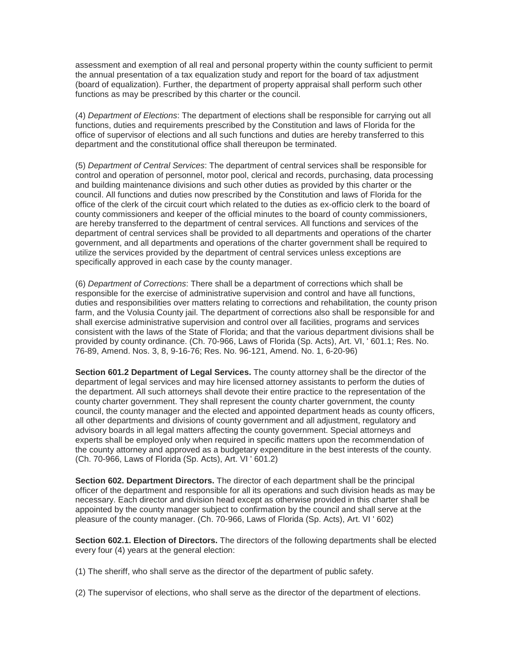assessment and exemption of all real and personal property within the county sufficient to permit the annual presentation of a tax equalization study and report for the board of tax adjustment (board of equalization). Further, the department of property appraisal shall perform such other functions as may be prescribed by this charter or the council.

(4) *Department of Elections*: The department of elections shall be responsible for carrying out all functions, duties and requirements prescribed by the Constitution and laws of Florida for the office of supervisor of elections and all such functions and duties are hereby transferred to this department and the constitutional office shall thereupon be terminated.

(5) *Department of Central Services*: The department of central services shall be responsible for control and operation of personnel, motor pool, clerical and records, purchasing, data processing and building maintenance divisions and such other duties as provided by this charter or the council. All functions and duties now prescribed by the Constitution and laws of Florida for the office of the clerk of the circuit court which related to the duties as ex-officio clerk to the board of county commissioners and keeper of the official minutes to the board of county commissioners, are hereby transferred to the department of central services. All functions and services of the department of central services shall be provided to all departments and operations of the charter government, and all departments and operations of the charter government shall be required to utilize the services provided by the department of central services unless exceptions are specifically approved in each case by the county manager.

(6) *Department of Corrections*: There shall be a department of corrections which shall be responsible for the exercise of administrative supervision and control and have all functions, duties and responsibilities over matters relating to corrections and rehabilitation, the county prison farm, and the Volusia County jail. The department of corrections also shall be responsible for and shall exercise administrative supervision and control over all facilities, programs and services consistent with the laws of the State of Florida; and that the various department divisions shall be provided by county ordinance. (Ch. 70-966, Laws of Florida (Sp. Acts), Art. VI, ' 601.1; Res. No. 76-89, Amend. Nos. 3, 8, 9-16-76; Res. No. 96-121, Amend. No. 1, 6-20-96)

**Section 601.2 Department of Legal Services.** The county attorney shall be the director of the department of legal services and may hire licensed attorney assistants to perform the duties of the department. All such attorneys shall devote their entire practice to the representation of the county charter government. They shall represent the county charter government, the county council, the county manager and the elected and appointed department heads as county officers, all other departments and divisions of county government and all adjustment, regulatory and advisory boards in all legal matters affecting the county government. Special attorneys and experts shall be employed only when required in specific matters upon the recommendation of the county attorney and approved as a budgetary expenditure in the best interests of the county. (Ch. 70-966, Laws of Florida (Sp. Acts), Art. VI ' 601.2)

**Section 602. Department Directors.** The director of each department shall be the principal officer of the department and responsible for all its operations and such division heads as may be necessary. Each director and division head except as otherwise provided in this charter shall be appointed by the county manager subject to confirmation by the council and shall serve at the pleasure of the county manager. (Ch. 70-966, Laws of Florida (Sp. Acts), Art. VI ' 602)

**Section 602.1. Election of Directors.** The directors of the following departments shall be elected every four (4) years at the general election:

- (1) The sheriff, who shall serve as the director of the department of public safety.
- (2) The supervisor of elections, who shall serve as the director of the department of elections.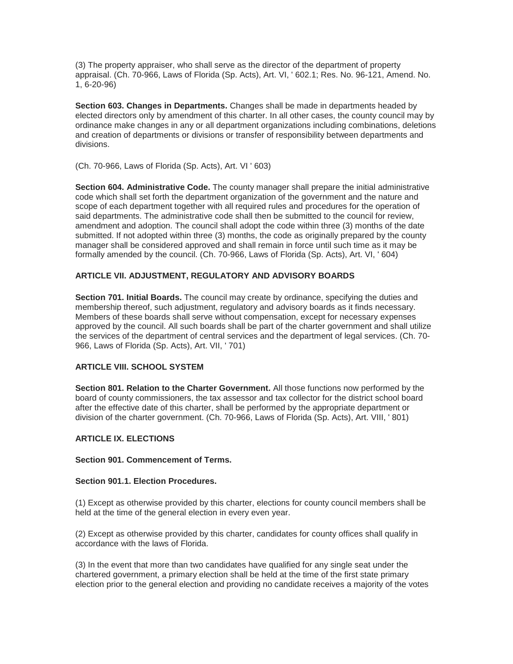(3) The property appraiser, who shall serve as the director of the department of property appraisal. (Ch. 70-966, Laws of Florida (Sp. Acts), Art. VI, ' 602.1; Res. No. 96-121, Amend. No. 1, 6-20-96)

**Section 603. Changes in Departments.** Changes shall be made in departments headed by elected directors only by amendment of this charter. In all other cases, the county council may by ordinance make changes in any or all department organizations including combinations, deletions and creation of departments or divisions or transfer of responsibility between departments and divisions.

#### (Ch. 70-966, Laws of Florida (Sp. Acts), Art. VI ' 603)

**Section 604. Administrative Code.** The county manager shall prepare the initial administrative code which shall set forth the department organization of the government and the nature and scope of each department together with all required rules and procedures for the operation of said departments. The administrative code shall then be submitted to the council for review, amendment and adoption. The council shall adopt the code within three (3) months of the date submitted. If not adopted within three (3) months, the code as originally prepared by the county manager shall be considered approved and shall remain in force until such time as it may be formally amended by the council. (Ch. 70-966, Laws of Florida (Sp. Acts), Art. VI, ' 604)

# **ARTICLE VII. ADJUSTMENT, REGULATORY AND ADVISORY BOARDS**

**Section 701. Initial Boards.** The council may create by ordinance, specifying the duties and membership thereof, such adjustment, regulatory and advisory boards as it finds necessary. Members of these boards shall serve without compensation, except for necessary expenses approved by the council. All such boards shall be part of the charter government and shall utilize the services of the department of central services and the department of legal services. (Ch. 70- 966, Laws of Florida (Sp. Acts), Art. VII, ' 701)

#### **ARTICLE VIII. SCHOOL SYSTEM**

**Section 801. Relation to the Charter Government.** All those functions now performed by the board of county commissioners, the tax assessor and tax collector for the district school board after the effective date of this charter, shall be performed by the appropriate department or division of the charter government. (Ch. 70-966, Laws of Florida (Sp. Acts), Art. VIII, ' 801)

#### **ARTICLE IX. ELECTIONS**

#### **Section 901. Commencement of Terms.**

#### **Section 901.1. Election Procedures.**

(1) Except as otherwise provided by this charter, elections for county council members shall be held at the time of the general election in every even year.

(2) Except as otherwise provided by this charter, candidates for county offices shall qualify in accordance with the laws of Florida.

(3) In the event that more than two candidates have qualified for any single seat under the chartered government, a primary election shall be held at the time of the first state primary election prior to the general election and providing no candidate receives a majority of the votes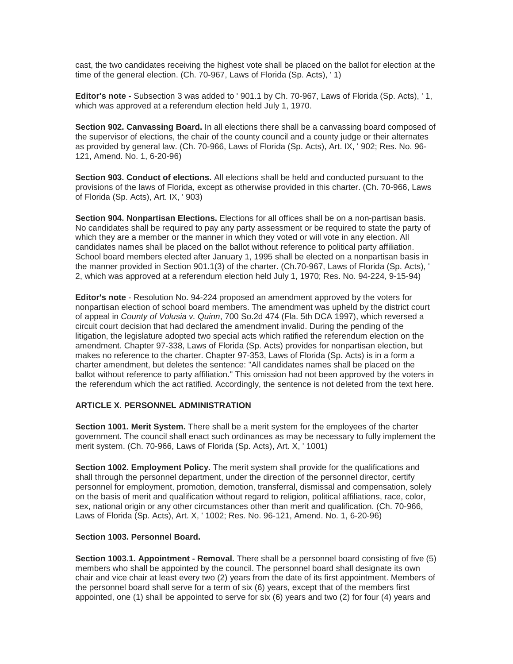cast, the two candidates receiving the highest vote shall be placed on the ballot for election at the time of the general election. (Ch. 70-967, Laws of Florida (Sp. Acts), ' 1)

**Editor's note -** Subsection 3 was added to ' 901.1 by Ch. 70-967, Laws of Florida (Sp. Acts), ' 1, which was approved at a referendum election held July 1, 1970.

**Section 902. Canvassing Board.** In all elections there shall be a canvassing board composed of the supervisor of elections, the chair of the county council and a county judge or their alternates as provided by general law. (Ch. 70-966, Laws of Florida (Sp. Acts), Art. IX, ' 902; Res. No. 96- 121, Amend. No. 1, 6-20-96)

**Section 903. Conduct of elections.** All elections shall be held and conducted pursuant to the provisions of the laws of Florida, except as otherwise provided in this charter. (Ch. 70-966, Laws of Florida (Sp. Acts), Art. IX, ' 903)

**Section 904. Nonpartisan Elections.** Elections for all offices shall be on a non-partisan basis. No candidates shall be required to pay any party assessment or be required to state the party of which they are a member or the manner in which they voted or will vote in any election. All candidates names shall be placed on the ballot without reference to political party affiliation. School board members elected after January 1, 1995 shall be elected on a nonpartisan basis in the manner provided in Section 901.1(3) of the charter. (Ch.70-967, Laws of Florida (Sp. Acts), ' 2, which was approved at a referendum election held July 1, 1970; Res. No. 94-224, 9-15-94)

**Editor's note** - Resolution No. 94-224 proposed an amendment approved by the voters for nonpartisan election of school board members. The amendment was upheld by the district court of appeal in *County of Volusia v. Quinn*, 700 So.2d 474 (Fla. 5th DCA 1997), which reversed a circuit court decision that had declared the amendment invalid. During the pending of the litigation, the legislature adopted two special acts which ratified the referendum election on the amendment. Chapter 97-338, Laws of Florida (Sp. Acts) provides for nonpartisan election, but makes no reference to the charter. Chapter 97-353, Laws of Florida (Sp. Acts) is in a form a charter amendment, but deletes the sentence: "All candidates names shall be placed on the ballot without reference to party affiliation." This omission had not been approved by the voters in the referendum which the act ratified. Accordingly, the sentence is not deleted from the text here.

#### **ARTICLE X. PERSONNEL ADMINISTRATION**

**Section 1001. Merit System.** There shall be a merit system for the employees of the charter government. The council shall enact such ordinances as may be necessary to fully implement the merit system. (Ch. 70-966, Laws of Florida (Sp. Acts), Art. X, ' 1001)

**Section 1002. Employment Policy.** The merit system shall provide for the qualifications and shall through the personnel department, under the direction of the personnel director, certify personnel for employment, promotion, demotion, transferral, dismissal and compensation, solely on the basis of merit and qualification without regard to religion, political affiliations, race, color, sex, national origin or any other circumstances other than merit and qualification. (Ch. 70-966, Laws of Florida (Sp. Acts), Art. X, ' 1002; Res. No. 96-121, Amend. No. 1, 6-20-96)

# **Section 1003. Personnel Board.**

**Section 1003.1. Appointment - Removal.** There shall be a personnel board consisting of five (5) members who shall be appointed by the council. The personnel board shall designate its own chair and vice chair at least every two (2) years from the date of its first appointment. Members of the personnel board shall serve for a term of six (6) years, except that of the members first appointed, one (1) shall be appointed to serve for six (6) years and two (2) for four (4) years and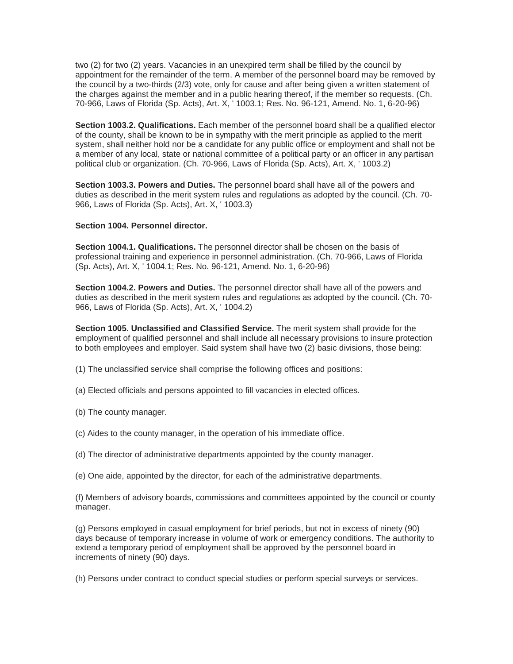two (2) for two (2) years. Vacancies in an unexpired term shall be filled by the council by appointment for the remainder of the term. A member of the personnel board may be removed by the council by a two-thirds (2/3) vote, only for cause and after being given a written statement of the charges against the member and in a public hearing thereof, if the member so requests. (Ch. 70-966, Laws of Florida (Sp. Acts), Art. X, ' 1003.1; Res. No. 96-121, Amend. No. 1, 6-20-96)

**Section 1003.2. Qualifications.** Each member of the personnel board shall be a qualified elector of the county, shall be known to be in sympathy with the merit principle as applied to the merit system, shall neither hold nor be a candidate for any public office or employment and shall not be a member of any local, state or national committee of a political party or an officer in any partisan political club or organization. (Ch. 70-966, Laws of Florida (Sp. Acts), Art. X, ' 1003.2)

**Section 1003.3. Powers and Duties.** The personnel board shall have all of the powers and duties as described in the merit system rules and regulations as adopted by the council. (Ch. 70- 966, Laws of Florida (Sp. Acts), Art. X, ' 1003.3)

#### **Section 1004. Personnel director.**

**Section 1004.1. Qualifications.** The personnel director shall be chosen on the basis of professional training and experience in personnel administration. (Ch. 70-966, Laws of Florida (Sp. Acts), Art. X, ' 1004.1; Res. No. 96-121, Amend. No. 1, 6-20-96)

**Section 1004.2. Powers and Duties.** The personnel director shall have all of the powers and duties as described in the merit system rules and regulations as adopted by the council. (Ch. 70- 966, Laws of Florida (Sp. Acts), Art. X, ' 1004.2)

**Section 1005. Unclassified and Classified Service.** The merit system shall provide for the employment of qualified personnel and shall include all necessary provisions to insure protection to both employees and employer. Said system shall have two (2) basic divisions, those being:

- (1) The unclassified service shall comprise the following offices and positions:
- (a) Elected officials and persons appointed to fill vacancies in elected offices.
- (b) The county manager.
- (c) Aides to the county manager, in the operation of his immediate office.
- (d) The director of administrative departments appointed by the county manager.
- (e) One aide, appointed by the director, for each of the administrative departments.

(f) Members of advisory boards, commissions and committees appointed by the council or county manager.

(g) Persons employed in casual employment for brief periods, but not in excess of ninety (90) days because of temporary increase in volume of work or emergency conditions. The authority to extend a temporary period of employment shall be approved by the personnel board in increments of ninety (90) days.

(h) Persons under contract to conduct special studies or perform special surveys or services.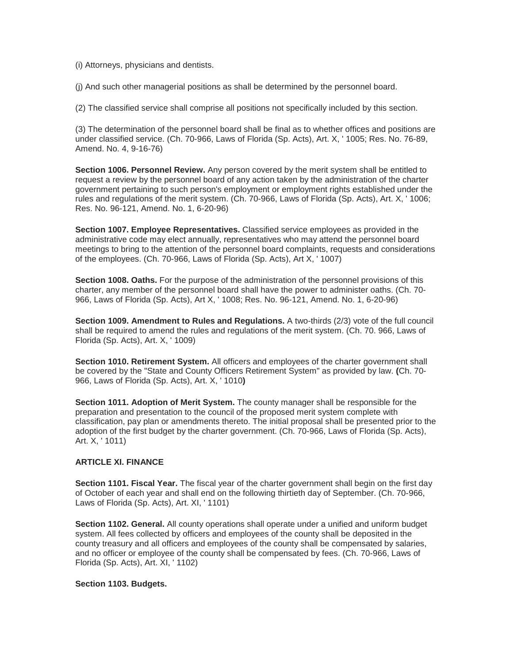- (i) Attorneys, physicians and dentists.
- (j) And such other managerial positions as shall be determined by the personnel board.

(2) The classified service shall comprise all positions not specifically included by this section.

(3) The determination of the personnel board shall be final as to whether offices and positions are under classified service. (Ch. 70-966, Laws of Florida (Sp. Acts), Art. X, ' 1005; Res. No. 76-89, Amend. No. 4, 9-16-76)

**Section 1006. Personnel Review.** Any person covered by the merit system shall be entitled to request a review by the personnel board of any action taken by the administration of the charter government pertaining to such person's employment or employment rights established under the rules and regulations of the merit system. (Ch. 70-966, Laws of Florida (Sp. Acts), Art. X, ' 1006; Res. No. 96-121, Amend. No. 1, 6-20-96)

**Section 1007. Employee Representatives.** Classified service employees as provided in the administrative code may elect annually, representatives who may attend the personnel board meetings to bring to the attention of the personnel board complaints, requests and considerations of the employees. (Ch. 70-966, Laws of Florida (Sp. Acts), Art X, ' 1007)

**Section 1008. Oaths.** For the purpose of the administration of the personnel provisions of this charter, any member of the personnel board shall have the power to administer oaths. (Ch. 70- 966, Laws of Florida (Sp. Acts), Art X, ' 1008; Res. No. 96-121, Amend. No. 1, 6-20-96)

**Section 1009. Amendment to Rules and Regulations.** A two-thirds (2/3) vote of the full council shall be required to amend the rules and regulations of the merit system. (Ch. 70. 966, Laws of Florida (Sp. Acts), Art. X, ' 1009)

**Section 1010. Retirement System.** All officers and employees of the charter government shall be covered by the "State and County Officers Retirement System" as provided by law. **(**Ch. 70- 966, Laws of Florida (Sp. Acts), Art. X, ' 1010**)**

**Section 1011. Adoption of Merit System.** The county manager shall be responsible for the preparation and presentation to the council of the proposed merit system complete with classification, pay plan or amendments thereto. The initial proposal shall be presented prior to the adoption of the first budget by the charter government. (Ch. 70-966, Laws of Florida (Sp. Acts), Art. X, ' 1011)

# **ARTICLE XI. FINANCE**

**Section 1101. Fiscal Year.** The fiscal year of the charter government shall begin on the first day of October of each year and shall end on the following thirtieth day of September. (Ch. 70-966, Laws of Florida (Sp. Acts), Art. XI, ' 1101)

**Section 1102. General.** All county operations shall operate under a unified and uniform budget system. All fees collected by officers and employees of the county shall be deposited in the county treasury and all officers and employees of the county shall be compensated by salaries, and no officer or employee of the county shall be compensated by fees. (Ch. 70-966, Laws of Florida (Sp. Acts), Art. XI, ' 1102)

#### **Section 1103. Budgets.**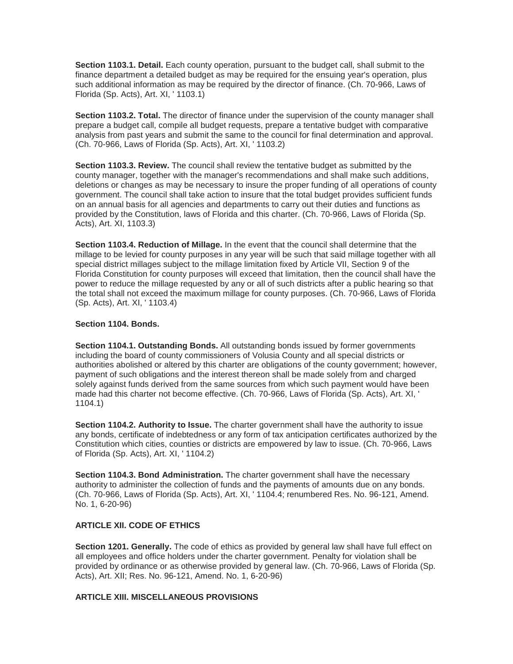**Section 1103.1. Detail.** Each county operation, pursuant to the budget call, shall submit to the finance department a detailed budget as may be required for the ensuing year's operation, plus such additional information as may be required by the director of finance. (Ch. 70-966, Laws of Florida (Sp. Acts), Art. XI, ' 1103.1)

**Section 1103.2. Total.** The director of finance under the supervision of the county manager shall prepare a budget call, compile all budget requests, prepare a tentative budget with comparative analysis from past years and submit the same to the council for final determination and approval. (Ch. 70-966, Laws of Florida (Sp. Acts), Art. XI, ' 1103.2)

**Section 1103.3. Review.** The council shall review the tentative budget as submitted by the county manager, together with the manager's recommendations and shall make such additions, deletions or changes as may be necessary to insure the proper funding of all operations of county government. The council shall take action to insure that the total budget provides sufficient funds on an annual basis for all agencies and departments to carry out their duties and functions as provided by the Constitution, laws of Florida and this charter. (Ch. 70-966, Laws of Florida (Sp. Acts), Art. XI, 1103.3)

**Section 1103.4. Reduction of Millage.** In the event that the council shall determine that the millage to be levied for county purposes in any year will be such that said millage together with all special district millages subject to the millage limitation fixed by Article VII, Section 9 of the Florida Constitution for county purposes will exceed that limitation, then the council shall have the power to reduce the millage requested by any or all of such districts after a public hearing so that the total shall not exceed the maximum millage for county purposes. (Ch. 70-966, Laws of Florida (Sp. Acts), Art. XI, ' 1103.4)

#### **Section 1104. Bonds.**

**Section 1104.1. Outstanding Bonds.** All outstanding bonds issued by former governments including the board of county commissioners of Volusia County and all special districts or authorities abolished or altered by this charter are obligations of the county government; however, payment of such obligations and the interest thereon shall be made solely from and charged solely against funds derived from the same sources from which such payment would have been made had this charter not become effective. (Ch. 70-966, Laws of Florida (Sp. Acts), Art. XI, ' 1104.1)

**Section 1104.2. Authority to Issue.** The charter government shall have the authority to issue any bonds, certificate of indebtedness or any form of tax anticipation certificates authorized by the Constitution which cities, counties or districts are empowered by law to issue. (Ch. 70-966, Laws of Florida (Sp. Acts), Art. XI, ' 1104.2)

**Section 1104.3. Bond Administration.** The charter government shall have the necessary authority to administer the collection of funds and the payments of amounts due on any bonds. (Ch. 70-966, Laws of Florida (Sp. Acts), Art. XI, ' 1104.4; renumbered Res. No. 96-121, Amend. No. 1, 6-20-96)

# **ARTICLE XII. CODE OF ETHICS**

**Section 1201. Generally.** The code of ethics as provided by general law shall have full effect on all employees and office holders under the charter government. Penalty for violation shall be provided by ordinance or as otherwise provided by general law. (Ch. 70-966, Laws of Florida (Sp. Acts), Art. XII; Res. No. 96-121, Amend. No. 1, 6-20-96)

#### **ARTICLE XIII. MISCELLANEOUS PROVISIONS**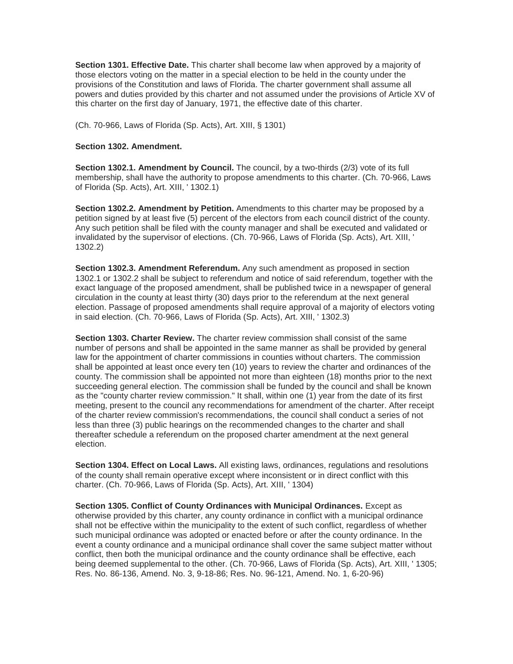**Section 1301. Effective Date.** This charter shall become law when approved by a majority of those electors voting on the matter in a special election to be held in the county under the provisions of the Constitution and laws of Florida. The charter government shall assume all powers and duties provided by this charter and not assumed under the provisions of Article XV of this charter on the first day of January, 1971, the effective date of this charter.

(Ch. 70-966, Laws of Florida (Sp. Acts), Art. XIII, § 1301)

#### **Section 1302. Amendment.**

**Section 1302.1. Amendment by Council.** The council, by a two-thirds (2/3) vote of its full membership, shall have the authority to propose amendments to this charter. (Ch. 70-966, Laws of Florida (Sp. Acts), Art. XIII, ' 1302.1)

**Section 1302.2. Amendment by Petition.** Amendments to this charter may be proposed by a petition signed by at least five (5) percent of the electors from each council district of the county. Any such petition shall be filed with the county manager and shall be executed and validated or invalidated by the supervisor of elections. (Ch. 70-966, Laws of Florida (Sp. Acts), Art. XIII, ' 1302.2)

**Section 1302.3. Amendment Referendum.** Any such amendment as proposed in section 1302.1 or 1302.2 shall be subject to referendum and notice of said referendum, together with the exact language of the proposed amendment, shall be published twice in a newspaper of general circulation in the county at least thirty (30) days prior to the referendum at the next general election. Passage of proposed amendments shall require approval of a majority of electors voting in said election. (Ch. 70-966, Laws of Florida (Sp. Acts), Art. XIII, ' 1302.3)

**Section 1303. Charter Review.** The charter review commission shall consist of the same number of persons and shall be appointed in the same manner as shall be provided by general law for the appointment of charter commissions in counties without charters. The commission shall be appointed at least once every ten (10) years to review the charter and ordinances of the county. The commission shall be appointed not more than eighteen (18) months prior to the next succeeding general election. The commission shall be funded by the council and shall be known as the "county charter review commission." It shall, within one (1) year from the date of its first meeting, present to the council any recommendations for amendment of the charter. After receipt of the charter review commission's recommendations, the council shall conduct a series of not less than three (3) public hearings on the recommended changes to the charter and shall thereafter schedule a referendum on the proposed charter amendment at the next general election.

**Section 1304. Effect on Local Laws.** All existing laws, ordinances, regulations and resolutions of the county shall remain operative except where inconsistent or in direct conflict with this charter. (Ch. 70-966, Laws of Florida (Sp. Acts), Art. XIII, ' 1304)

**Section 1305. Conflict of County Ordinances with Municipal Ordinances.** Except as otherwise provided by this charter, any county ordinance in conflict with a municipal ordinance shall not be effective within the municipality to the extent of such conflict, regardless of whether such municipal ordinance was adopted or enacted before or after the county ordinance. In the event a county ordinance and a municipal ordinance shall cover the same subject matter without conflict, then both the municipal ordinance and the county ordinance shall be effective, each being deemed supplemental to the other. (Ch. 70-966, Laws of Florida (Sp. Acts), Art. XIII, ' 1305; Res. No. 86-136, Amend. No. 3, 9-18-86; Res. No. 96-121, Amend. No. 1, 6-20-96)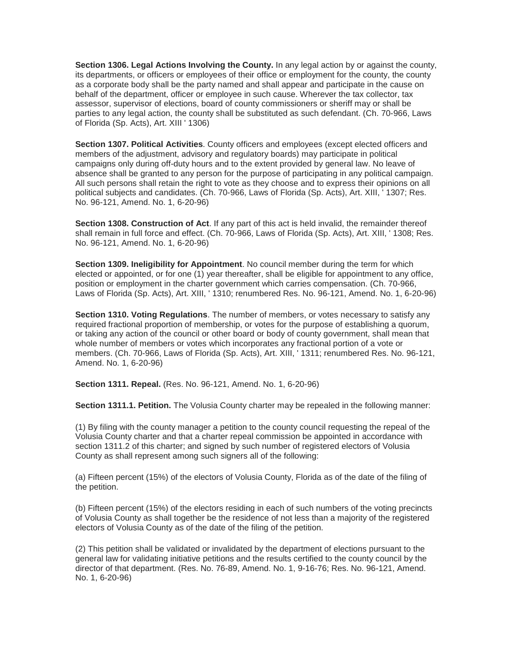**Section 1306. Legal Actions Involving the County.** In any legal action by or against the county, its departments, or officers or employees of their office or employment for the county, the county as a corporate body shall be the party named and shall appear and participate in the cause on behalf of the department, officer or employee in such cause. Wherever the tax collector, tax assessor, supervisor of elections, board of county commissioners or sheriff may or shall be parties to any legal action, the county shall be substituted as such defendant. (Ch. 70-966, Laws of Florida (Sp. Acts), Art. XIII ' 1306)

**Section 1307. Political Activities**. County officers and employees (except elected officers and members of the adjustment, advisory and regulatory boards) may participate in political campaigns only during off-duty hours and to the extent provided by general law. No leave of absence shall be granted to any person for the purpose of participating in any political campaign. All such persons shall retain the right to vote as they choose and to express their opinions on all political subjects and candidates. (Ch. 70-966, Laws of Florida (Sp. Acts), Art. XIII, ' 1307; Res. No. 96-121, Amend. No. 1, 6-20-96)

**Section 1308. Construction of Act**. If any part of this act is held invalid, the remainder thereof shall remain in full force and effect. (Ch. 70-966, Laws of Florida (Sp. Acts), Art. XIII, ' 1308; Res. No. 96-121, Amend. No. 1, 6-20-96)

**Section 1309. Ineligibility for Appointment**. No council member during the term for which elected or appointed, or for one (1) year thereafter, shall be eligible for appointment to any office, position or employment in the charter government which carries compensation. (Ch. 70-966, Laws of Florida (Sp. Acts), Art. XIII, ' 1310; renumbered Res. No. 96-121, Amend. No. 1, 6-20-96)

**Section 1310. Voting Regulations**. The number of members, or votes necessary to satisfy any required fractional proportion of membership, or votes for the purpose of establishing a quorum, or taking any action of the council or other board or body of county government, shall mean that whole number of members or votes which incorporates any fractional portion of a vote or members. (Ch. 70-966, Laws of Florida (Sp. Acts), Art. XIII, ' 1311; renumbered Res. No. 96-121, Amend. No. 1, 6-20-96)

**Section 1311. Repeal.** (Res. No. 96-121, Amend. No. 1, 6-20-96)

**Section 1311.1. Petition.** The Volusia County charter may be repealed in the following manner:

(1) By filing with the county manager a petition to the county council requesting the repeal of the Volusia County charter and that a charter repeal commission be appointed in accordance with section 1311.2 of this charter; and signed by such number of registered electors of Volusia County as shall represent among such signers all of the following:

(a) Fifteen percent (15%) of the electors of Volusia County, Florida as of the date of the filing of the petition.

(b) Fifteen percent (15%) of the electors residing in each of such numbers of the voting precincts of Volusia County as shall together be the residence of not less than a majority of the registered electors of Volusia County as of the date of the filing of the petition.

(2) This petition shall be validated or invalidated by the department of elections pursuant to the general law for validating initiative petitions and the results certified to the county council by the director of that department. (Res. No. 76-89, Amend. No. 1, 9-16-76; Res. No. 96-121, Amend. No. 1, 6-20-96)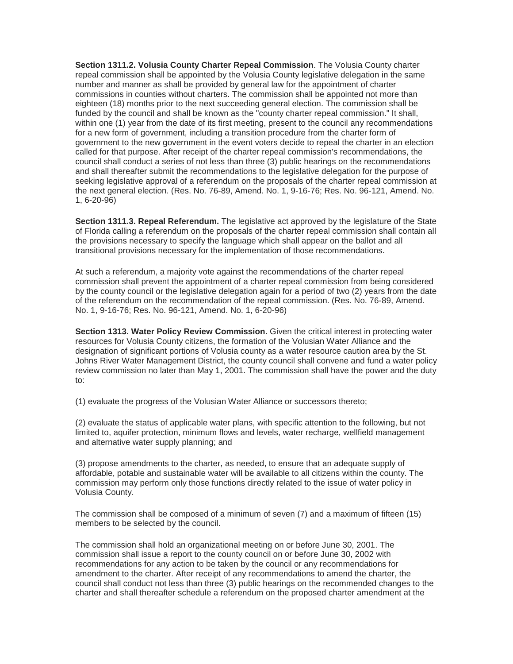**Section 1311.2. Volusia County Charter Repeal Commission**. The Volusia County charter repeal commission shall be appointed by the Volusia County legislative delegation in the same number and manner as shall be provided by general law for the appointment of charter commissions in counties without charters. The commission shall be appointed not more than eighteen (18) months prior to the next succeeding general election. The commission shall be funded by the council and shall be known as the "county charter repeal commission." It shall, within one (1) year from the date of its first meeting, present to the council any recommendations for a new form of government, including a transition procedure from the charter form of government to the new government in the event voters decide to repeal the charter in an election called for that purpose. After receipt of the charter repeal commission's recommendations, the council shall conduct a series of not less than three (3) public hearings on the recommendations and shall thereafter submit the recommendations to the legislative delegation for the purpose of seeking legislative approval of a referendum on the proposals of the charter repeal commission at the next general election. (Res. No. 76-89, Amend. No. 1, 9-16-76; Res. No. 96-121, Amend. No. 1, 6-20-96)

**Section 1311.3. Repeal Referendum.** The legislative act approved by the legislature of the State of Florida calling a referendum on the proposals of the charter repeal commission shall contain all the provisions necessary to specify the language which shall appear on the ballot and all transitional provisions necessary for the implementation of those recommendations.

At such a referendum, a majority vote against the recommendations of the charter repeal commission shall prevent the appointment of a charter repeal commission from being considered by the county council or the legislative delegation again for a period of two (2) years from the date of the referendum on the recommendation of the repeal commission. (Res. No. 76-89, Amend. No. 1, 9-16-76; Res. No. 96-121, Amend. No. 1, 6-20-96)

**Section 1313. Water Policy Review Commission.** Given the critical interest in protecting water resources for Volusia County citizens, the formation of the Volusian Water Alliance and the designation of significant portions of Volusia county as a water resource caution area by the St. Johns River Water Management District, the county council shall convene and fund a water policy review commission no later than May 1, 2001. The commission shall have the power and the duty to:

(1) evaluate the progress of the Volusian Water Alliance or successors thereto;

(2) evaluate the status of applicable water plans, with specific attention to the following, but not limited to, aquifer protection, minimum flows and levels, water recharge, wellfield management and alternative water supply planning; and

(3) propose amendments to the charter, as needed, to ensure that an adequate supply of affordable, potable and sustainable water will be available to all citizens within the county. The commission may perform only those functions directly related to the issue of water policy in Volusia County.

The commission shall be composed of a minimum of seven (7) and a maximum of fifteen (15) members to be selected by the council.

The commission shall hold an organizational meeting on or before June 30, 2001. The commission shall issue a report to the county council on or before June 30, 2002 with recommendations for any action to be taken by the council or any recommendations for amendment to the charter. After receipt of any recommendations to amend the charter, the council shall conduct not less than three (3) public hearings on the recommended changes to the charter and shall thereafter schedule a referendum on the proposed charter amendment at the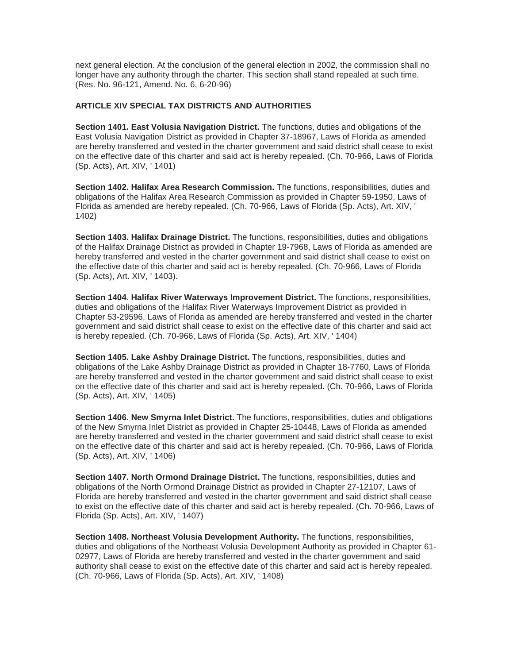next general election. At the conclusion of the general election in 2002, the commission shall no longer have any authority through the charter. This section shall stand repealed at such time. (Res. No. 96-121, Amend. No. 6, 6-20-96)

# **ARTICLE XIV SPECIAL TAX DISTRICTS AND AUTHORITIES**

**Section 1401. East Volusia Navigation District.** The functions, duties and obligations of the East Volusia Navigation District as provided in Chapter 37-18967, Laws of Florida as amended are hereby transferred and vested in the charter government and said district shall cease to exist on the effective date of this charter and said act is hereby repealed. (Ch. 70-966, Laws of Florida (Sp. Acts), Art. XIV, ' 1401)

**Section 1402. Halifax Area Research Commission.** The functions, responsibilities, duties and obligations of the Halifax Area Research Commission as provided in Chapter 59-1950, Laws of Florida as amended are hereby repealed. (Ch. 70-966, Laws of Florida (Sp. Acts), Art. XIV, ' 1402)

**Section 1403. Halifax Drainage District.** The functions, responsibilities, duties and obligations of the Halifax Drainage District as provided in Chapter 19-7968, Laws of Florida as amended are hereby transferred and vested in the charter government and said district shall cease to exist on the effective date of this charter and said act is hereby repealed. (Ch. 70-966, Laws of Florida (Sp. Acts), Art. XIV, ' 1403).

**Section 1404. Halifax River Waterways Improvement District.** The functions, responsibilities, duties and obligations of the Halifax River Waterways Improvement District as provided in Chapter 53-29596, Laws of Florida as amended are hereby transferred and vested in the charter government and said district shall cease to exist on the effective date of this charter and said act is hereby repealed. (Ch. 70-966, Laws of Florida (Sp. Acts), Art. XIV, ' 1404)

**Section 1405. Lake Ashby Drainage District.** The functions, responsibilities, duties and obligations of the Lake Ashby Drainage District as provided in Chapter 18-7760, Laws of Florida are hereby transferred and vested in the charter government and said district shall cease to exist on the effective date of this charter and said act is hereby repealed. (Ch. 70-966, Laws of Florida (Sp. Acts), Art. XIV, ' 1405)

**Section 1406. New Smyrna Inlet District.** The functions, responsibilities, duties and obligations of the New Smyrna Inlet District as provided in Chapter 25-10448, Laws of Florida as amended are hereby transferred and vested in the charter government and said district shall cease to exist on the effective date of this charter and said act is hereby repealed. (Ch. 70-966, Laws of Florida (Sp. Acts), Art. XIV, ' 1406)

**Section 1407. North Ormond Drainage District.** The functions, responsibilities, duties and obligations of the North Ormond Drainage District as provided in Chapter 27-12107, Laws of Florida are hereby transferred and vested in the charter government and said district shall cease to exist on the effective date of this charter and said act is hereby repealed. (Ch. 70-966, Laws of Florida (Sp. Acts), Art. XIV, ' 1407)

**Section 1408. Northeast Volusia Development Authority.** The functions, responsibilities, duties and obligations of the Northeast Volusia Development Authority as provided in Chapter 61- 02977, Laws of Florida are hereby transferred and vested in the charter government and said authority shall cease to exist on the effective date of this charter and said act is hereby repealed. (Ch. 70-966, Laws of Florida (Sp. Acts), Art. XIV, ' 1408)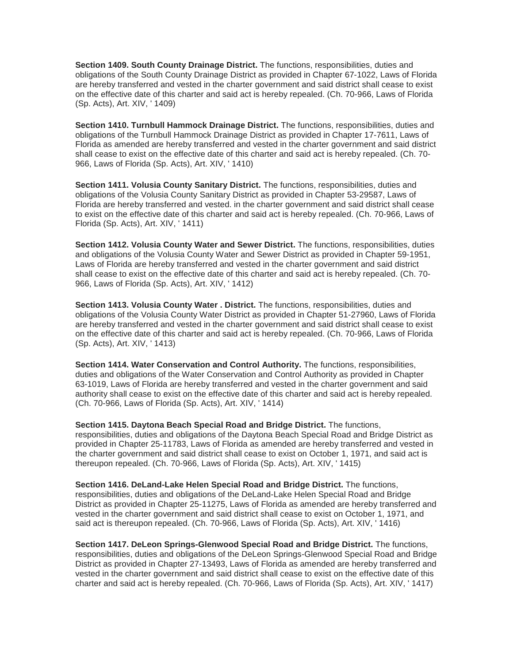**Section 1409. South County Drainage District.** The functions, responsibilities, duties and obligations of the South County Drainage District as provided in Chapter 67-1022, Laws of Florida are hereby transferred and vested in the charter government and said district shall cease to exist on the effective date of this charter and said act is hereby repealed. (Ch. 70-966, Laws of Florida (Sp. Acts), Art. XIV, ' 1409)

**Section 1410. Turnbull Hammock Drainage District.** The functions, responsibilities, duties and obligations of the Turnbull Hammock Drainage District as provided in Chapter 17-7611, Laws of Florida as amended are hereby transferred and vested in the charter government and said district shall cease to exist on the effective date of this charter and said act is hereby repealed. (Ch. 70- 966, Laws of Florida (Sp. Acts), Art. XIV, ' 1410)

**Section 1411. Volusia County Sanitary District.** The functions, responsibilities, duties and obligations of the Volusia County Sanitary District as provided in Chapter 53-29587, Laws of Florida are hereby transferred and vested. in the charter government and said district shall cease to exist on the effective date of this charter and said act is hereby repealed. (Ch. 70-966, Laws of Florida (Sp. Acts), Art. XIV, ' 1411)

**Section 1412. Volusia County Water and Sewer District.** The functions, responsibilities, duties and obligations of the Volusia County Water and Sewer District as provided in Chapter 59-1951, Laws of Florida are hereby transferred and vested in the charter government and said district shall cease to exist on the effective date of this charter and said act is hereby repealed. (Ch. 70- 966, Laws of Florida (Sp. Acts), Art. XIV, ' 1412)

**Section 1413. Volusia County Water . District.** The functions, responsibilities, duties and obligations of the Volusia County Water District as provided in Chapter 51-27960, Laws of Florida are hereby transferred and vested in the charter government and said district shall cease to exist on the effective date of this charter and said act is hereby repealed. (Ch. 70-966, Laws of Florida (Sp. Acts), Art. XIV, ' 1413)

**Section 1414. Water Conservation and Control Authority.** The functions, responsibilities, duties and obligations of the Water Conservation and Control Authority as provided in Chapter 63-1019, Laws of Florida are hereby transferred and vested in the charter government and said authority shall cease to exist on the effective date of this charter and said act is hereby repealed. (Ch. 70-966, Laws of Florida (Sp. Acts), Art. XIV, ' 1414)

**Section 1415. Daytona Beach Special Road and Bridge District.** The functions, responsibilities, duties and obligations of the Daytona Beach Special Road and Bridge District as provided in Chapter 25-11783, Laws of Florida as amended are hereby transferred and vested in the charter government and said district shall cease to exist on October 1, 1971, and said act is thereupon repealed. (Ch. 70-966, Laws of Florida (Sp. Acts), Art. XIV, ' 1415)

**Section 1416. DeLand-Lake Helen Special Road and Bridge District.** The functions, responsibilities, duties and obligations of the DeLand-Lake Helen Special Road and Bridge District as provided in Chapter 25-11275, Laws of Florida as amended are hereby transferred and vested in the charter government and said district shall cease to exist on October 1, 1971, and said act is thereupon repealed. (Ch. 70-966, Laws of Florida (Sp. Acts), Art. XIV, ' 1416)

**Section 1417. DeLeon Springs-Glenwood Special Road and Bridge District.** The functions, responsibilities, duties and obligations of the DeLeon Springs-Glenwood Special Road and Bridge District as provided in Chapter 27-13493, Laws of Florida as amended are hereby transferred and vested in the charter government and said district shall cease to exist on the effective date of this charter and said act is hereby repealed. (Ch. 70-966, Laws of Florida (Sp. Acts), Art. XIV, ' 1417)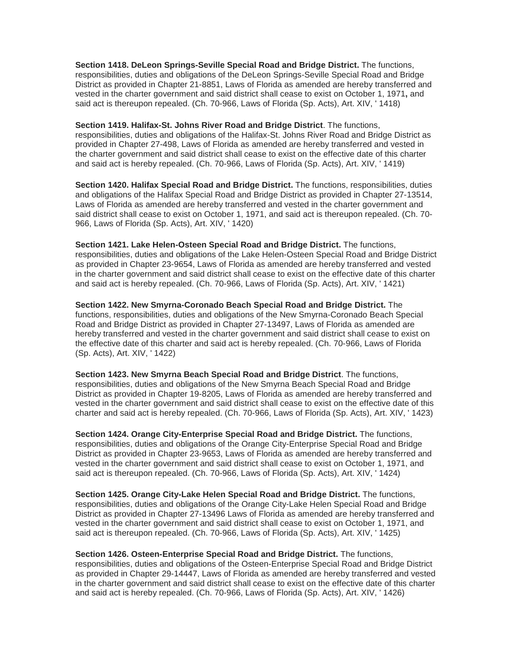**Section 1418. DeLeon Springs-Seville Special Road and Bridge District.** The functions, responsibilities, duties and obligations of the DeLeon Springs-Seville Special Road and Bridge District as provided in Chapter 21-8851, Laws of Florida as amended are hereby transferred and vested in the charter government and said district shall cease to exist on October 1, 1971**,** and said act is thereupon repealed. (Ch. 70-966, Laws of Florida (Sp. Acts), Art. XIV, ' 1418)

**Section 1419. Halifax-St. Johns River Road and Bridge District**. The functions, responsibilities, duties and obligations of the Halifax-St. Johns River Road and Bridge District as provided in Chapter 27-498, Laws of Florida as amended are hereby transferred and vested in the charter government and said district shall cease to exist on the effective date of this charter and said act is hereby repealed. (Ch. 70-966, Laws of Florida (Sp. Acts), Art. XIV, ' 1419)

**Section 1420. Halifax Special Road and Bridge District.** The functions, responsibilities, duties and obligations of the Halifax Special Road and Bridge District as provided in Chapter 27-13514, Laws of Florida as amended are hereby transferred and vested in the charter government and said district shall cease to exist on October 1, 1971, and said act is thereupon repealed. (Ch. 70- 966, Laws of Florida (Sp. Acts), Art. XIV, ' 1420)

**Section 1421. Lake Helen-Osteen Special Road and Bridge District.** The functions, responsibilities, duties and obligations of the Lake Helen-Osteen Special Road and Bridge District as provided in Chapter 23-9654, Laws of Florida as amended are hereby transferred and vested in the charter government and said district shall cease to exist on the effective date of this charter and said act is hereby repealed. (Ch. 70-966, Laws of Florida (Sp. Acts), Art. XIV, ' 1421)

**Section 1422. New Smyrna-Coronado Beach Special Road and Bridge District.** The functions, responsibilities, duties and obligations of the New Smyrna-Coronado Beach Special Road and Bridge District as provided in Chapter 27-13497, Laws of Florida as amended are hereby transferred and vested in the charter government and said district shall cease to exist on the effective date of this charter and said act is hereby repealed. (Ch. 70-966, Laws of Florida (Sp. Acts), Art. XIV, ' 1422)

**Section 1423. New Smyrna Beach Special Road and Bridge District**. The functions, responsibilities, duties and obligations of the New Smyrna Beach Special Road and Bridge District as provided in Chapter 19-8205, Laws of Florida as amended are hereby transferred and vested in the charter government and said district shall cease to exist on the effective date of this charter and said act is hereby repealed. (Ch. 70-966, Laws of Florida (Sp. Acts), Art. XIV, ' 1423)

**Section 1424. Orange City-Enterprise Special Road and Bridge District.** The functions, responsibilities, duties and obligations of the Orange City-Enterprise Special Road and Bridge District as provided in Chapter 23-9653, Laws of Florida as amended are hereby transferred and vested in the charter government and said district shall cease to exist on October 1, 1971, and said act is thereupon repealed. (Ch. 70-966, Laws of Florida (Sp. Acts), Art. XIV, ' 1424)

**Section 1425. Orange City-Lake Helen Special Road and Bridge District.** The functions, responsibilities, duties and obligations of the Orange City-Lake Helen Special Road and Bridge District as provided in Chapter 27-13496 Laws of Florida as amended are hereby transferred and vested in the charter government and said district shall cease to exist on October 1, 1971, and said act is thereupon repealed. (Ch. 70-966, Laws of Florida (Sp. Acts), Art. XIV, ' 1425)

**Section 1426. Osteen-Enterprise Special Road and Bridge District.** The functions, responsibilities, duties and obligations of the Osteen-Enterprise Special Road and Bridge District as provided in Chapter 29-14447, Laws of Florida as amended are hereby transferred and vested in the charter government and said district shall cease to exist on the effective date of this charter and said act is hereby repealed. (Ch. 70-966, Laws of Florida (Sp. Acts), Art. XIV, ' 1426)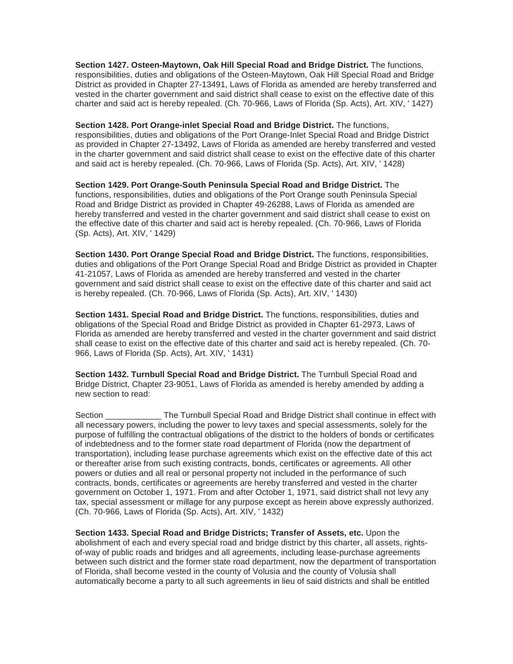**Section 1427. Osteen-Maytown, Oak Hill Special Road and Bridge District.** The functions, responsibilities, duties and obligations of the Osteen-Maytown, Oak Hill Special Road and Bridge District as provided in Chapter 27-13491, Laws of Florida as amended are hereby transferred and vested in the charter government and said district shall cease to exist on the effective date of this charter and said act is hereby repealed. (Ch. 70-966, Laws of Florida (Sp. Acts), Art. XIV, ' 1427)

**Section 1428. Port Orange-inlet Special Road and Bridge District.** The functions, responsibilities, duties and obligations of the Port Orange-Inlet Special Road and Bridge District as provided in Chapter 27-13492, Laws of Florida as amended are hereby transferred and vested in the charter government and said district shall cease to exist on the effective date of this charter and said act is hereby repealed. (Ch. 70-966, Laws of Florida (Sp. Acts), Art. XIV, ' 1428)

**Section 1429. Port Orange-South Peninsula Special Road and Bridge District.** The functions, responsibilities, duties and obligations of the Port Orange south Peninsula Special Road and Bridge District as provided in Chapter 49-26288, Laws of Florida as amended are hereby transferred and vested in the charter government and said district shall cease to exist on the effective date of this charter and said act is hereby repealed. (Ch. 70-966, Laws of Florida (Sp. Acts), Art. XIV, ' 1429)

**Section 1430. Port Orange Special Road and Bridge District.** The functions, responsibilities, duties and obligations of the Port Orange Special Road and Bridge District as provided in Chapter 41-21057, Laws of Florida as amended are hereby transferred and vested in the charter government and said district shall cease to exist on the effective date of this charter and said act is hereby repealed. (Ch. 70-966, Laws of Florida (Sp. Acts), Art. XIV, ' 1430)

**Section 1431. Special Road and Bridge District.** The functions, responsibilities, duties and obligations of the Special Road and Bridge District as provided in Chapter 61-2973, Laws of Florida as amended are hereby transferred and vested in the charter government and said district shall cease to exist on the effective date of this charter and said act is hereby repealed. (Ch. 70- 966, Laws of Florida (Sp. Acts), Art. XIV, ' 1431)

**Section 1432. Turnbull Special Road and Bridge District.** The Turnbull Special Road and Bridge District, Chapter 23-9051, Laws of Florida as amended is hereby amended by adding a new section to read:

Section **Example 3** The Turnbull Special Road and Bridge District shall continue in effect with all necessary powers, including the power to levy taxes and special assessments, solely for the purpose of fulfilling the contractual obligations of the district to the holders of bonds or certificates of indebtedness and to the former state road department of Florida (now the department of transportation), including lease purchase agreements which exist on the effective date of this act or thereafter arise from such existing contracts, bonds, certificates or agreements. All other powers or duties and all real or personal property not included in the performance of such contracts, bonds, certificates or agreements are hereby transferred and vested in the charter government on October 1, 1971. From and after October 1, 1971, said district shall not levy any tax, special assessment or millage for any purpose except as herein above expressly authorized. (Ch. 70-966, Laws of Florida (Sp. Acts), Art. XIV, ' 1432)

**Section 1433. Special Road and Bridge Districts; Transfer of Assets, etc.** Upon the abolishment of each and every special road and bridge district by this charter, all assets, rightsof-way of public roads and bridges and all agreements, including lease-purchase agreements between such district and the former state road department, now the department of transportation of Florida, shall become vested in the county of Volusia and the county of Volusia shall automatically become a party to all such agreements in lieu of said districts and shall be entitled